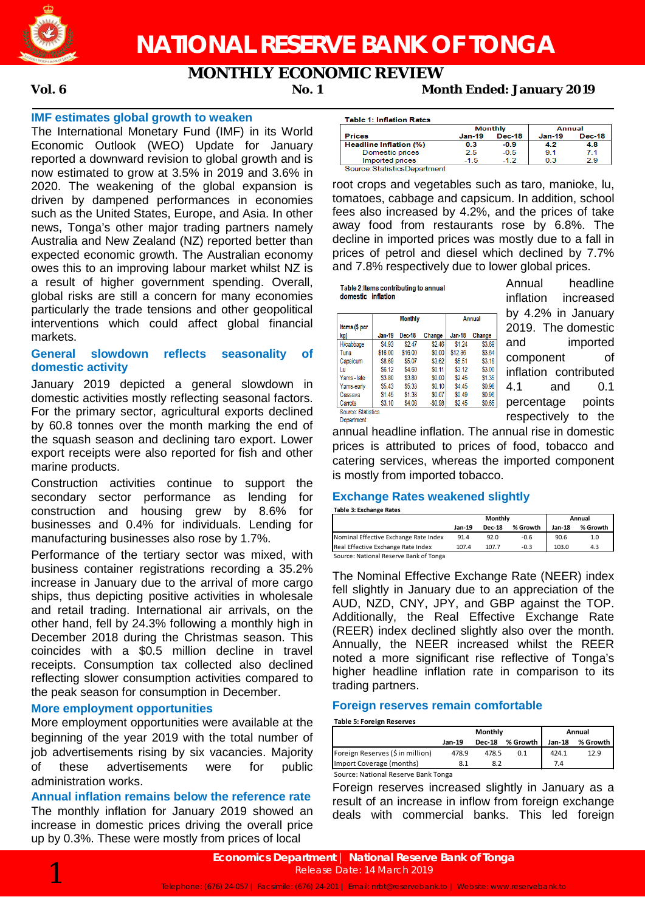

**MONTHLY ECONOMIC REVIEW**

**Vol. 6 No. 1 Month Ended: January 2019**

#### **IMF estimates global growth to weaken**

The International Monetary Fund (IMF) in its World Economic Outlook (WEO) Update for January reported a downward revision to global growth and is now estimated to grow at 3.5% in 2019 and 3.6% in 2020. The weakening of the global expansion is driven by dampened performances in economies such as the United States, Europe, and Asia. In other news, Tonga's other major trading partners namely Australia and New Zealand (NZ) reported better than expected economic growth. The Australian economy owes this to an improving labour market whilst NZ is a result of higher government spending. Overall, global risks are still a concern for many economies particularly the trade tensions and other geopolitical interventions which could affect global financial markets.

#### **General slowdown reflects seasonality of domestic activity**

January 2019 depicted a general slowdown in domestic activities mostly reflecting seasonal factors. For the primary sector, agricultural exports declined by 60.8 tonnes over the month marking the end of the squash season and declining taro export. Lower export receipts were also reported for fish and other marine products.

Construction activities continue to support the secondary sector performance as lending for construction and housing grew by 8.6% for businesses and 0.4% for individuals. Lending for manufacturing businesses also rose by 1.7%.

Performance of the tertiary sector was mixed, with business container registrations recording a 35.2% increase in January due to the arrival of more cargo ships, thus depicting positive activities in wholesale and retail trading. International air arrivals, on the other hand, fell by 24.3% following a monthly high in December 2018 during the Christmas season. This coincides with a \$0.5 million decline in travel receipts. Consumption tax collected also declined reflecting slower consumption activities compared to the peak season for consumption in December.

#### **More employment opportunities**

More employment opportunities were available at the beginning of the year 2019 with the total number of job advertisements rising by six vacancies. Majority of these advertisements were for public administration works.

**Annual inflation remains below the reference rate** The monthly inflation for January 2019 showed an increase in domestic prices driving the overall price up by 0.3%. These were mostly from prices of local

| <b>Table 1: Inflation Rates</b> |               |                |               |               |
|---------------------------------|---------------|----------------|---------------|---------------|
|                                 |               | <b>Monthly</b> | Annual        |               |
| <b>Prices</b>                   | <b>Jan-19</b> | Dec-18         | <b>Jan-19</b> | <b>Dec-18</b> |
| Headline Inflation (%)          | 0.3           | -0.9           | 4.2           | 4.8           |
| Domestic prices                 | 2.5           | $-0.5$         | 91            | 71            |
| Imported prices                 | $-1.5$        | $-12$          | 0.3           | 29            |
| Source: StatisticsDepartment    |               |                |               |               |

root crops and vegetables such as taro, manioke, lu, tomatoes, cabbage and capsicum. In addition, school fees also increased by 4.2%, and the prices of take away food from restaurants rose by 6.8%. The decline in imported prices was mostly due to a fall in prices of petrol and diesel which declined by 7.7% and 7.8% respectively due to lower global prices.

Table 2: Items contributing to annual domestic inflation

|                    |               | <b>Monthly</b> | <b>Annual</b> |               |        |  |
|--------------------|---------------|----------------|---------------|---------------|--------|--|
| Items (\$ per      |               |                |               |               |        |  |
| kg)                | <b>Jan-19</b> | Dec-18         | Change        | <b>Jan-18</b> | Change |  |
| H/cabbage          | \$4 93        | \$247          | \$2.46        | \$1 24        | \$3.69 |  |
| Tuna               | \$16.00       | \$16.00        | \$0.00        | \$12.36       | \$3.64 |  |
| Capsicum           | \$8.69        | \$5.07         | \$3.62        | \$5.51        | \$3.18 |  |
| Lu                 | <b>S6 12</b>  | \$4 60         | \$0.11        | \$3.12        | \$3.00 |  |
| Yams - late        | \$3.80        | \$3.80         | \$0.00        | \$245         | \$1.35 |  |
| Yams-early         | \$5.43        | \$5.33         | \$0.10        | \$4.45        | \$0.98 |  |
| Cassava            | \$1.45        | \$1,38         | \$0.07        | \$0.49        | \$0.96 |  |
| Carrots            | \$3.10        | \$4.08         | $-$0.98$      | \$245         | \$0.65 |  |
| Source: Statistics |               |                |               |               |        |  |
| Department         |               |                |               |               |        |  |

Annual headline inflation increased by 4.2% in January 2019. The domestic and imported component of inflation contributed 4.1 and 0.1 percentage points respectively to the

annual headline inflation. The annual rise in domestic prices is attributed to prices of food, tobacco and catering services, whereas the imported component is mostly from imported tobacco.

#### **Exchange Rates weakened slightly**

**Table 3: Exchange Rates**

|                                        |        | Monthly       | Annual   |        |          |
|----------------------------------------|--------|---------------|----------|--------|----------|
|                                        | Jan-19 | <b>Dec-18</b> | % Growth | Jan-18 | % Growth |
| Nominal Effective Exchange Rate Index  | 91.4   | 92.0          | $-0.6$   | 90.6   | 1.0      |
| Real Effective Exchange Rate Index     | 107.4  | 107.7         | $-0.3$   | 103.0  | 4.3      |
| Source: National Reserve Bank of Tonga |        |               |          |        |          |

The Nominal Effective Exchange Rate (NEER) index fell slightly in January due to an appreciation of the AUD, NZD, CNY, JPY, and GBP against the TOP. Additionally, the Real Effective Exchange Rate (REER) index declined slightly also over the month. Annually, the NEER increased whilst the REER noted a more significant rise reflective of Tonga's higher headline inflation rate in comparison to its trading partners.

#### **Foreign reserves remain comfortable**

**Table 5: Foreign Reserves**

|                                     |        | Monthly       | Annual   |        |          |
|-------------------------------------|--------|---------------|----------|--------|----------|
|                                     | Jan-19 | <b>Dec-18</b> | % Growth | Jan-18 | % Growth |
| Foreign Reserves (\$ in million)    | 478.9  | 478.5         | 0.1      | 424.1  | 12.9     |
| Import Coverage (months)            | 8.1    | 8.2           |          | 7.4    |          |
| Source: National Reserve Bank Tonga |        |               |          |        |          |

Foreign reserves increased slightly in January as a result of an increase in inflow from foreign exchange deals with commercial banks. This led foreign

**Economics Department | National Reserve Bank of Tonga**<br>Release Date: 14 March 2019<br>Telephone: (676) 24-057 | Facsimile: (676) 24-201 | Email: nrbt@reservebank.to | Website: www.reservebank.to Release Date: 14 March 2019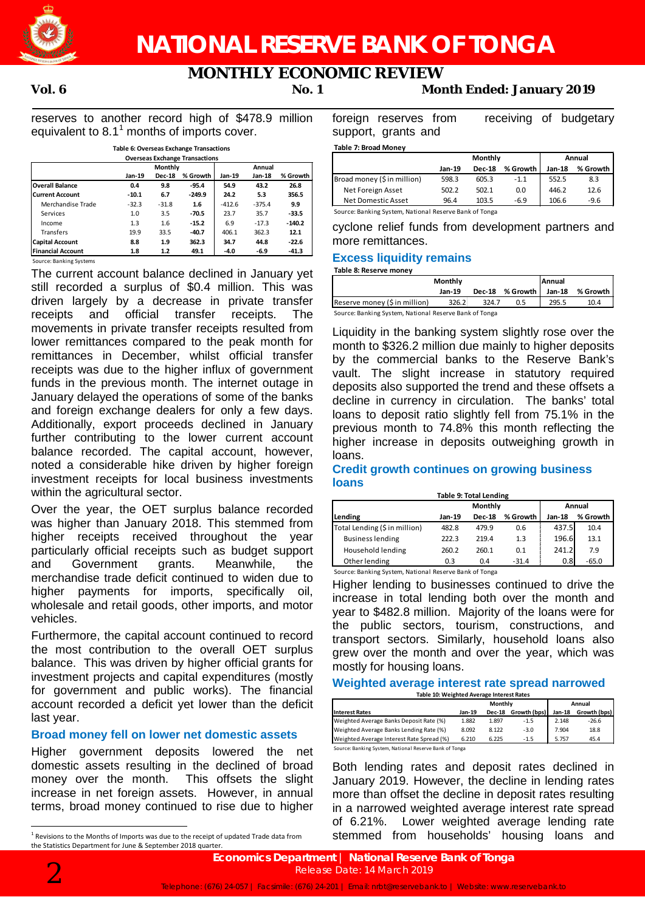

## **MONTHLY ECONOMIC REVIEW**

**Vol. 6 No. 1 Month Ended: January 2019**

reserves to another record high of \$478.9 million equivalent to 8.1<sup>1</sup> months of imports cover.

|                          | Table 6: Overseas Exchange Transactions |               |                                       |          |               |          | <b>Table 7: Broad Money</b> |
|--------------------------|-----------------------------------------|---------------|---------------------------------------|----------|---------------|----------|-----------------------------|
|                          |                                         |               | <b>Overseas Exchange Transactions</b> |          |               |          |                             |
|                          |                                         | Monthly       |                                       |          | Annual        |          |                             |
|                          | Jan-19                                  | <b>Dec-18</b> | % Growth                              | Jan-19   | <b>Jan-18</b> | % Growth | Broad money (\$ in mil      |
| <b>Overall Balance</b>   | 0.4                                     | 9.8           | $-95.4$                               | 54.9     | 43.2          | 26.8     |                             |
| <b>Current Account</b>   | $-10.1$                                 | 6.7           | $-249.9$                              | 24.2     | 5.3           | 356.5    | Net Foreign Asset           |
| Merchandise Trade        | $-32.3$                                 | $-31.8$       | 1.6                                   | $-412.6$ | $-375.4$      | 9.9      | Net Domestic Asse           |
| Services                 | 1.0                                     | 3.5           | $-70.5$                               | 23.7     | 35.7          | $-33.5$  | Source: Banking System,     |
| Income                   | 1.3                                     | 1.6           | $-15.2$                               | 6.9      | $-17.3$       | $-140.2$ | cyclone relief              |
| <b>Transfers</b>         | 19.9                                    | 33.5          | $-40.7$                               | 406.1    | 362.3         | 12.1     |                             |
| <b>Capital Account</b>   | 8.8                                     | 1.9           | 362.3                                 | 34.7     | 44.8          | $-22.6$  | more remittan               |
| <b>Financial Account</b> | 1.8                                     | 1.2           | 49.1                                  | $-4.0$   | $-6.9$        | $-41.3$  | Evence liquiz               |

Source: Banking Systems

The current account balance declined in January yet still recorded a surplus of \$0.4 million. This was driven largely by a decrease in private transfer receipts and official transfer receipts. The movements in private transfer receipts resulted from lower remittances compared to the peak month for remittances in December, whilst official transfer receipts was due to the higher influx of government funds in the previous month. The internet outage in January delayed the operations of some of the banks and foreign exchange dealers for only a few days. Additionally, export proceeds declined in January further contributing to the lower current account balance recorded. The capital account, however, noted a considerable hike driven by higher foreign investment receipts for local business investments within the agricultural sector.

Over the year, the OET surplus balance recorded was higher than January 2018. This stemmed from higher receipts received throughout the year particularly official receipts such as budget support and Government grants. Meanwhile, the merchandise trade deficit continued to widen due to higher payments for imports, specifically oil, wholesale and retail goods, other imports, and motor vehicles.

Furthermore, the capital account continued to record the most contribution to the overall OET surplus balance. This was driven by higher official grants for investment projects and capital expenditures (mostly for government and public works). The financial account recorded a deficit yet lower than the deficit last year.

### **Broad money fell on lower net domestic assets**

Higher government deposits lowered the net domestic assets resulting in the declined of broad money over the month. This offsets the slight increase in net foreign assets. However, in annual terms, broad money continued to rise due to higher

foreign reserves from receiving of budgetary support, grants and

| rabie 7: Broad ivionev      |        |               |          |        |          |
|-----------------------------|--------|---------------|----------|--------|----------|
|                             |        | Monthly       | Annual   |        |          |
|                             | Jan-19 | <b>Dec-18</b> | % Growth | Jan-18 | % Growth |
| Broad money (\$ in million) | 598.3  | 605.3         | $-1.1$   | 552.5  | 8.3      |
| Net Foreign Asset           | 502.2  | 502.1         | 0.0      | 446.2  | 12.6     |
| Net Domestic Asset          | 96.4   | 103.5         | $-6.9$   | 106.6  | $-9.6$   |
|                             |        |               |          |        |          |

Source: Banking System, National Reserve Bank of Tonga

cyclone relief funds from development partners and more remittances.

### **Excess liquidity remains**

**Table 8: Reserve money**

|                                                        | Monthly |               |            | <b>IAnnual</b> |          |  |  |
|--------------------------------------------------------|---------|---------------|------------|----------------|----------|--|--|
|                                                        | Jan-19  | <b>Dec-18</b> | % Growth I | Jan-18         | % Growth |  |  |
| Reserve money (\$ in million)                          | 326.2   | 324.7         | 0.5        | 295.5          | 10.4     |  |  |
| Source: Banking System, National Reserve Bank of Tonga |         |               |            |                |          |  |  |

Liquidity in the banking system slightly rose over the month to \$326.2 million due mainly to higher deposits by the commercial banks to the Reserve Bank's vault. The slight increase in statutory required deposits also supported the trend and these offsets a decline in currency in circulation. The banks' total loans to deposit ratio slightly fell from 75.1% in the previous month to 74.8% this month reflecting the higher increase in deposits outweighing growth in loans.

### **Credit growth continues on growing business loans**

|  | <b>Table 9: Total Lending</b> |
|--|-------------------------------|

|               |               | Annual   |          |          |
|---------------|---------------|----------|----------|----------|
| <b>Jan-19</b> | <b>Dec-18</b> | % Growth | $Jan-18$ | % Growth |
| 482.8         | 479.9         | 0.6      | 437.5    | 10.4     |
| 222.3         | 219.4         | 1.3      | 196.6    | 13.1     |
| 260.2         | 260.1         | 0.1      | 241.2    | 7.9      |
| 0.3           | 0.4           | $-31.4$  | 0.8      | $-65.0$  |
|               |               |          | Monthly  |          |

Source: Banking System, National Reserve Bank of Tonga

Higher lending to businesses continued to drive the increase in total lending both over the month and year to \$482.8 million. Majority of the loans were for the public sectors, tourism, constructions, and transport sectors. Similarly, household loans also grew over the month and over the year, which was mostly for housing loans.

#### **Weighted average interest rate spread narrowed Table 10: Weighted Average Interest Rates**

| נשאוכ בט. זזכונוונכט הזכונונכ ווונכוכא ומוכש |                                                        |               |              |        |              |  |  |  |
|----------------------------------------------|--------------------------------------------------------|---------------|--------------|--------|--------------|--|--|--|
|                                              |                                                        | Monthly       | Annual       |        |              |  |  |  |
| <b>Interest Rates</b>                        | Jan-19                                                 | <b>Dec-18</b> | Growth (bps) | Jan-18 | Growth (bps) |  |  |  |
| Weighted Average Banks Deposit Rate (%)      | 1.882                                                  | 1.897         | $-1.5$       | 2.148  | $-26.6$      |  |  |  |
| Weighted Average Banks Lending Rate (%)      | 8.092                                                  | 8.122         | $-3.0$       | 7.904  | 18.8         |  |  |  |
| Weighted Average Interest Rate Spread (%)    | 6.210                                                  | 6.225         | $-1.5$       | 5.757  | 45.4         |  |  |  |
|                                              | Source: Banking System, National Reserve Bank of Tonga |               |              |        |              |  |  |  |

Both lending rates and deposit rates declined in January 2019. However, the decline in lending rates more than offset the decline in deposit rates resulting in a narrowed weighted average interest rate spread of 6.21%. Lower weighted average lending rate stemmed from households' housing loans and



<sup>&</sup>lt;sup>1</sup> Revisions to the Months of Imports was due to the receipt of updated Trade data from the Statistics Department for June & September 2018 quarter.